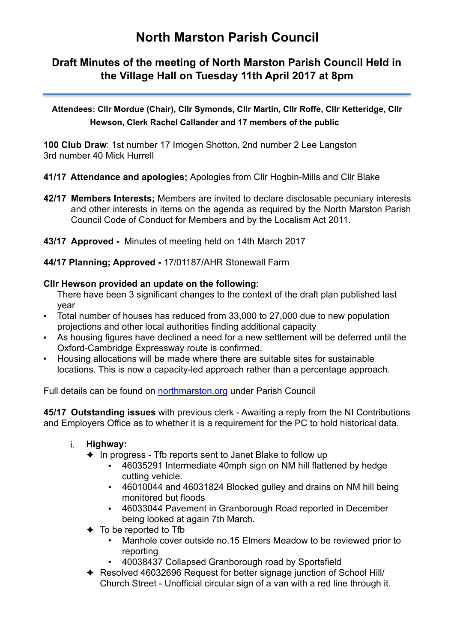# **North Marston Parish Council**

# **Draft Minutes of the meeting of North Marston Parish Council Held in the Village Hall on Tuesday 11th April 2017 at 8pm**

**Attendees: Cllr Mordue (Chair), Cllr Symonds, Cllr Martin, Cllr Roffe, Cllr Ketteridge, Cllr Hewson, Clerk Rachel Callander and 17 members of the public** 

**100 Club Draw**: 1st number 17 Imogen Shotton, 2nd number 2 Lee Langston 3rd number 40 Mick Hurrell

- **41/17 Attendance and apologies;** Apologies from Cllr Hogbin-Mills and Cllr Blake
- **42/17 Members Interests;** Members are invited to declare disclosable pecuniary interests and other interests in items on the agenda as required by the North Marston Parish Council Code of Conduct for Members and by the Localism Act 2011.
- **43/17 Approved** Minutes of meeting held on 14th March 2017
- **44/17 Planning; Approved** 17/01187/AHR Stonewall Farm

#### **Cllr Hewson provided an update on the following**:

There have been 3 significant changes to the context of the draft plan published last year

- Total number of houses has reduced from 33,000 to 27,000 due to new population projections and other local authorities finding additional capacity
- As housing figures have declined a need for a new settlement will be deferred until the Oxford-Cambridge Expressway route is confirmed.
- Housing allocations will be made where there are suitable sites for sustainable locations. This is now a capacity-led approach rather than a percentage approach.

Full details can be found on [northmarston.org](http://northmarston.org) under Parish Council

**45/17 Outstanding issues** with previous clerk - Awaiting a reply from the NI Contributions and Employers Office as to whether it is a requirement for the PC to hold historical data.

- i. **Highway:** 
	- ✦ In progress Tfb reports sent to Janet Blake to follow up
		- 46035291 Intermediate 40mph sign on NM hill flattened by hedge cutting vehicle.
		- 46010044 and 46031824 Blocked gulley and drains on NM hill being monitored but floods
		- 46033044 Pavement in Granborough Road reported in December being looked at again 7th March.
	- $\triangleleft$  To be reported to Tfb
		- Manhole cover outside no.15 Elmers Meadow to be reviewed prior to reporting
		- 40038437 Collapsed Granborough road by Sportsfield
	- ✦ Resolved 46032696 Request for better signage junction of School Hill/ Church Street - Unofficial circular sign of a van with a red line through it.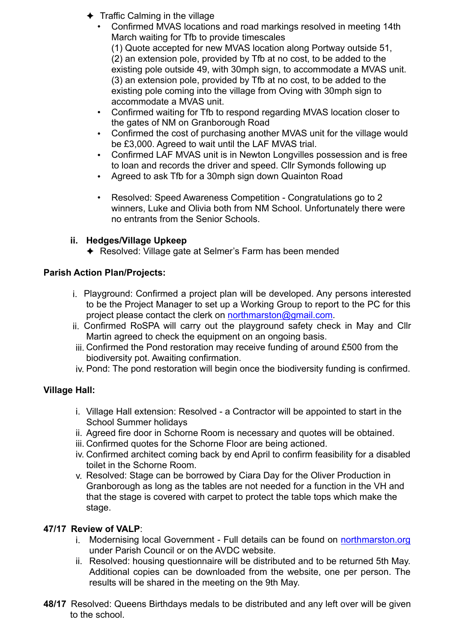- $\triangleleft$  Traffic Calming in the village
	- Confirmed MVAS locations and road markings resolved in meeting 14th March waiting for Tfb to provide timescales

(1) Quote accepted for new MVAS location along Portway outside 51, (2) an extension pole, provided by Tfb at no cost, to be added to the existing pole outside 49, with 30mph sign, to accommodate a MVAS unit. (3) an extension pole, provided by Tfb at no cost, to be added to the existing pole coming into the village from Oving with 30mph sign to accommodate a MVAS unit.

- Confirmed waiting for Tfb to respond regarding MVAS location closer to the gates of NM on Granborough Road
- Confirmed the cost of purchasing another MVAS unit for the village would be £3,000. Agreed to wait until the LAF MVAS trial.
- Confirmed LAF MVAS unit is in Newton Longvilles possession and is free to loan and records the driver and speed. Cllr Symonds following up
- Agreed to ask Tfb for a 30mph sign down Quainton Road
- Resolved: Speed Awareness Competition Congratulations go to 2 winners, Luke and Olivia both from NM School. Unfortunately there were no entrants from the Senior Schools.

# **ii. Hedges/Village Upkeep**

✦ Resolved: Village gate at Selmer's Farm has been mended

# **Parish Action Plan/Projects:**

- i. Playground: Confirmed a project plan will be developed. Any persons interested to be the Project Manager to set up a Working Group to report to the PC for this project please contact the clerk on [northmarston@gmail.com.](mailto:northmarston@gmail.com)
- ii. Confirmed RoSPA will carry out the playground safety check in May and Cllr Martin agreed to check the equipment on an ongoing basis.
- iii. Confirmed the Pond restoration may receive funding of around £500 from the biodiversity pot. Awaiting confirmation.
- iv. Pond: The pond restoration will begin once the biodiversity funding is confirmed.

#### **Village Hall:**

- i. Village Hall extension: Resolved a Contractor will be appointed to start in the School Summer holidays
- ii. Agreed fire door in Schorne Room is necessary and quotes will be obtained.
- iii. Confirmed quotes for the Schorne Floor are being actioned.
- iv. Confirmed architect coming back by end April to confirm feasibility for a disabled toilet in the Schorne Room.
- v. Resolved: Stage can be borrowed by Ciara Day for the Oliver Production in Granborough as long as the tables are not needed for a function in the VH and that the stage is covered with carpet to protect the table tops which make the stage.

#### **47/17 Review of VALP**:

- i. Modernising local Government Full details can be found on [northmarston.org](http://northmarston.org) under Parish Council or on the AVDC website.
- ii. Resolved: housing questionnaire will be distributed and to be returned 5th May. Additional copies can be downloaded from the website, one per person. The results will be shared in the meeting on the 9th May.
- **48/17** Resolved: Queens Birthdays medals to be distributed and any left over will be given to the school.